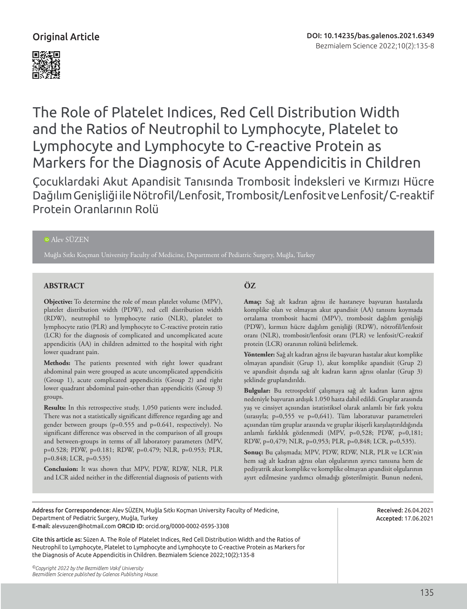

The Role of Platelet Indices, Red Cell Distribution Width and the Ratios of Neutrophil to Lymphocyte, Platelet to Lymphocyte and Lymphocyte to C-reactive Protein as Markers for the Diagnosis of Acute Appendicitis in Children

Çocuklardaki Akut Apandisit Tanısında Trombosit İndeksleri ve Kırmızı Hücre Dağılım Genişliği ile Nötrofil/Lenfosit, Trombosit/Lenfosit ve Lenfosit/ C-reaktif Protein Oranlarının Rolü

## Alev SÜZEN

Muğla Sıtkı Koçman University Faculty of Medicine, Department of Pediatric Surgery, Muğla, Turkey

# **ABSTRACT ÖZ**

**Objective:** To determine the role of mean platelet volume (MPV), platelet distribution width (PDW), red cell distribution width (RDW), neutrophil to lymphocyte ratio (NLR), platelet to lymphocyte ratio (PLR) and lymphocyte to C-reactive protein ratio (LCR) for the diagnosis of complicated and uncomplicated acute appendicitis (AA) in children admitted to the hospital with right lower quadrant pain.

**Methods:** The patients presented with right lower quadrant abdominal pain were grouped as acute uncomplicated appendicitis (Group 1), acute complicated appendicitis (Group 2) and right lower quadrant abdominal pain-other than appendicitis (Group 3) groups.

**Results:** In this retrospective study, 1,050 patients were included. There was not a statistically significant difference regarding age and gender between groups (p=0.555 and p=0.641, respectively). No significant difference was observed in the comparison of all groups and between-groups in terms of all laboratory parameters (MPV, p=0.528; PDW, p=0.181; RDW, p=0.479; NLR, p=0.953; PLR, p=0.848; LCR, p=0.535)

**Conclusion:** It was shown that MPV, PDW, RDW, NLR, PLR and LCR aided neither in the differential diagnosis of patients with

**Amaç:** Sağ alt kadran ağrısı ile hastaneye başvuran hastalarda komplike olan ve olmayan akut apandisit (AA) tanısını koymada ortalama trombosit hacmi (MPV), trombosit dağılım genişliği (PDW), kırmızı hücre dağılım genişliği (RDW), nötrofil/lenfosit oranı (NLR), trombosit/lenfosit oranı (PLR) ve lenfosit/C-reaktif protein (LCR) oranının rolünü belirlemek.

**Yöntemler:** Sağ alt kadran ağrısı ile başvuran hastalar akut komplike olmayan apandisit (Grup 1), akut komplike apandisit (Grup 2) ve apandisit dışında sağ alt kadran karın ağrısı olanlar (Grup 3) şeklinde gruplandırıldı.

**Bulgular:** Bu retrospektif çalışmaya sağ alt kadran karın ağrısı nedeniyle başvuran ardışık 1.050 hasta dahil edildi. Gruplar arasında yaş ve cinsiyet açısından istatistiksel olarak anlamlı bir fark yoktu (sırasıyla; p=0,555 ve p=0,641). Tüm laboratuvar parametreleri açısından tüm gruplar arasında ve gruplar ikişerli karşılaştırıldığında anlamlı farklılık gözlenmedi (MPV, p=0,528; PDW, p=0,181; RDW, p=0,479; NLR, p=0,953; PLR, p=0,848; LCR, p=0,535).

**Sonuç:** Bu çalışmada; MPV, PDW, RDW, NLR, PLR ve LCR'nin hem sağ alt kadran ağrısı olan olgularının ayırıcı tanısına hem de pediyatrik akut komplike ve komplike olmayan apandisit olgularının ayırt edilmesine yardımcı olmadığı gösterilmiştir. Bunun nedeni,

Address for Correspondence: Alev SÜZEN, Muğla Sıtkı Koçman University Faculty of Medicine, Department of Pediatric Surgery, Muğla, Turkey E-mail: alevsuzen@hotmail.com ORCID ID: orcid.org/0000-0002-0595-3308

Cite this article as: Süzen A. The Role of Platelet Indices, Red Cell Distribution Width and the Ratios of Neutrophil to Lymphocyte, Platelet to Lymphocyte and Lymphocyte to C-reactive Protein as Markers for the Diagnosis of Acute Appendicitis in Children. Bezmialem Science 2022;10(2):135-8

Received: 26.04.2021 Accepted: 17.06.2021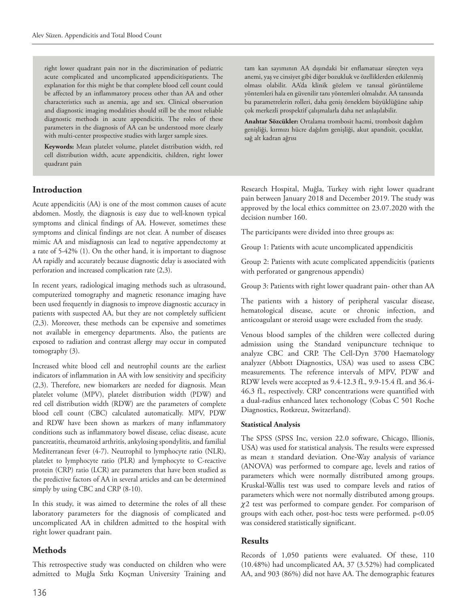right lower quadrant pain nor in the discrimination of pediatric acute complicated and uncomplicated appendicitispatients. The explanation for this might be that complete blood cell count could be affected by an inflammatory process other than AA and other characteristics such as anemia, age and sex. Clinical observation and diagnostic imaging modalities should still be the most reliable diagnostic methods in acute appendicitis. The roles of these parameters in the diagnosis of AA can be understood more clearly with multi-center prospective studies with larger sample sizes.

**Keywords:** Mean platelet volume, platelet distribution width, red cell distribution width, acute appendicitis, children, right lower quadrant pain

# **Introduction**

Acute appendicitis (AA) is one of the most common causes of acute abdomen. Mostly, the diagnosis is easy due to well-known typical symptoms and clinical findings of AA. However, sometimes these symptoms and clinical findings are not clear. A number of diseases mimic AA and misdiagnosis can lead to negative appendectomy at a rate of 5-42% (1). On the other hand, it is important to diagnose AA rapidly and accurately because diagnostic delay is associated with perforation and increased complication rate (2,3).

In recent years, radiological imaging methods such as ultrasound, computerized tomography and magnetic resonance imaging have been used frequently in diagnosis to improve diagnostic accuracy in patients with suspected AA, but they are not completely sufficient (2,3). Moreover, these methods can be expensive and sometimes not available in emergency departments. Also, the patients are exposed to radiation and contrast allergy may occur in computed tomography (3).

Increased white blood cell and neutrophil counts are the earliest indicators of inflammation in AA with low sensitivity and specificity (2,3). Therefore, new biomarkers are needed for diagnosis. Mean platelet volume (MPV), platelet distribution width (PDW) and red cell distribution width (RDW) are the parameters of complete blood cell count (CBC) calculated automatically. MPV, PDW and RDW have been shown as markers of many inflammatory conditions such as inflammatory bowel disease, celiac disease, acute pancreatitis, rheumatoid arthritis, ankylosing spondylitis, and familial Mediterranean fever (4-7). Neutrophil to lymphocyte ratio (NLR), platelet to lymphocyte ratio (PLR) and lymphocyte to C-reactive protein (CRP) ratio (LCR) are parameters that have been studied as the predictive factors of AA in several articles and can be determined simply by using CBC and CRP (8-10).

In this study, it was aimed to determine the roles of all these laboratory parameters for the diagnosis of complicated and uncomplicated AA in children admitted to the hospital with right lower quadrant pain.

### **Methods**

This retrospective study was conducted on children who were admitted to Muğla Sıtkı Koçman University Training and tam kan sayımının AA dışındaki bir enflamatuar süreçten veya anemi, yaş ve cinsiyet gibi diğer bozukluk ve özelliklerden etkilenmiş olması olabilir. AA'da klinik gözlem ve tanısal görüntüleme yöntemleri hala en güvenilir tanı yöntemleri olmalıdır. AA tanısında bu parametrelerin rolleri, daha geniş örneklem büyüklüğüne sahip çok merkezli prospektif çalışmalarla daha net anlaşılabilir.

**Anahtar Sözcükler:** Ortalama trombosit hacmi, trombosit dağılım genişliği, kırmızı hücre dağılım genişliği, akut apandisit, çocuklar, sağ alt kadran ağrısı

Research Hospital, Muğla, Turkey with right lower quadrant pain between January 2018 and December 2019. The study was approved by the local ethics committee on 23.07.2020 with the decision number 160.

The participants were divided into three groups as:

Group 1: Patients with acute uncomplicated appendicitis

Group 2: Patients with acute complicated appendicitis (patients with perforated or gangrenous appendix)

Group 3: Patients with right lower quadrant pain- other than AA

The patients with a history of peripheral vascular disease, hematological disease, acute or chronic infection, and anticoagulant or steroid usage were excluded from the study.

Venous blood samples of the children were collected during admission using the Standard venipuncture technique to analyze CBC and CRP. The Cell-Dyn 3700 Haematology analyzer (Abbott Diagnostics, USA) was used to assess CBC measurements. The reference intervals of MPV, PDW and RDW levels were accepted as 9.4-12.3 fL, 9.9-15.4 fL and 36.4- 46.3 fL, respectively. CRP concentrations were quantified with a dual-radius enhanced latex techonology (Cobas C 501 Roche Diagnostics, Rotkreuz, Switzerland).

#### **Statistical Analysis**

The SPSS (SPSS Inc, version 22.0 software, Chicago, Illionis, USA) was used for statistical analysis. The results were expressed as mean ± standard deviation. One-Way analysis of variance (ANOVA) was performed to compare age, levels and ratios of parameters which were normally distributed among groups. Kruskal-Wallis test was used to compare levels and ratios of parameters which were not normally distributed among groups.  $\chi$ 2 test was performed to compare gender. For comparison of groups with each other, post-hoc tests were performed. p<0.05 was considered statistically significant.

#### **Results**

Records of 1,050 patients were evaluated. Of these, 110 (10.48%) had uncomplicated AA, 37 (3.52%) had complicated AA, and 903 (86%) did not have AA. The demographic features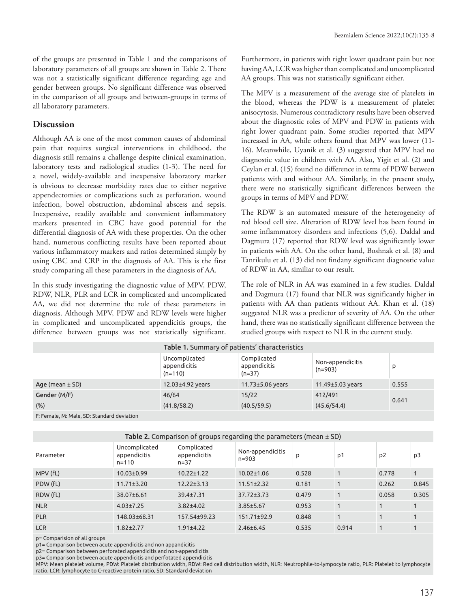of the groups are presented in Table 1 and the comparisons of laboratory parameters of all groups are shown in Table 2. There was not a statistically significant difference regarding age and gender between groups. No significant difference was observed in the comparison of all groups and between-groups in terms of all laboratory parameters.

# **Discussion**

Although AA is one of the most common causes of abdominal pain that requires surgical interventions in childhood, the diagnosis still remains a challenge despite clinical examination, laboratory tests and radiological studies (1-3). The need for a novel, widely-available and inexpensive laboratory marker is obvious to decrease morbidity rates due to either negative appendectomies or complications such as perforation, wound infection, bowel obstruction, abdominal abscess and sepsis. Inexpensive, readily available and convenient inflammatory markers presented in CBC have good potential for the differential diagnosis of AA with these properties. On the other hand, numerous conflicting results have been reported about various inflammatory markers and ratios determined simply by using CBC and CRP in the diagnosis of AA. This is the first study comparing all these parameters in the diagnosis of AA.

In this study investigating the diagnostic value of MPV, PDW, RDW, NLR, PLR and LCR in complicated and uncomplicated AA, we did not determine the role of these parameters in diagnosis. Although MPV, PDW and RDW levels were higher in complicated and uncomplicated appendicitis groups, the difference between groups was not statistically significant. Furthermore, in patients with right lower quadrant pain but not having AA, LCR was higher than complicated and uncomplicated AA groups. This was not statistically significant either.

The MPV is a measurement of the average size of platelets in the blood, whereas the PDW is a measurement of platelet anisocytosis. Numerous contradictory results have been observed about the diagnostic roles of MPV and PDW in patients with right lower quadrant pain. Some studies reported that MPV increased in AA, while others found that MPV was lower (11- 16). Meanwhile, Uyanik et al. (3) suggested that MPV had no diagnostic value in children with AA. Also, Yigit et al. (2) and Ceylan et al. (15) found no difference in terms of PDW between patients with and without AA. Similarly, in the present study, there were no statistically significant differences between the groups in terms of MPV and PDW.

The RDW is an automated measure of the heterogeneity of red blood cell size. Alteration of RDW level has been found in some inflammatory disorders and infections (5,6). Daldal and Dagmura (17) reported that RDW level was significantly lower in patients with AA. On the other hand, Boshnak et al. (8) and Tanrikulu et al. (13) did not findany significant diagnostic value of RDW in AA, similiar to our result.

The role of NLR in AA was examined in a few studies. Daldal and Dagmura (17) found that NLR was significantly higher in patients with AA than patients without AA. Khan et al. (18) suggested NLR was a predictor of severity of AA. On the other hand, there was no statistically significant difference between the studied groups with respect to NLR in the current study.

| Table 1. Summary of patients' characteristics |                                            |                                         |                               |       |  |  |  |  |  |
|-----------------------------------------------|--------------------------------------------|-----------------------------------------|-------------------------------|-------|--|--|--|--|--|
|                                               | Uncomplicated<br>appendicitis<br>$(n=110)$ | Complicated<br>appendicitis<br>$(n=37)$ | Non-appendicitis<br>$(n=903)$ | D     |  |  |  |  |  |
| Age (mean $\pm$ SD)                           | 12.03±4.92 years                           | $11.73 \pm 5.06$ years                  | $11.49 \pm 5.03$ years        | 0.555 |  |  |  |  |  |
| Gender (M/F)                                  | 46/64                                      | 15/22                                   | 412/491                       | 0.641 |  |  |  |  |  |
| (% )                                          | (41.8/58.2)                                | (40.5/59.5)                             | (45.6/54.4)                   |       |  |  |  |  |  |
| F. Fessele, M. Male, CD. Chanderd deviation   |                                            |                                         |                               |       |  |  |  |  |  |

F: Female, M: Male, SD: Standard deviation

|--|

| Parameter  | Uncomplicated<br>appendicitis<br>$n = 110$ | Complicated<br>appendicitis<br>$n = 37$ | Non-appendicitis<br>$n = 903$ | p     | p1    | p <sub>2</sub> | p3           |
|------------|--------------------------------------------|-----------------------------------------|-------------------------------|-------|-------|----------------|--------------|
| MPV (fL)   | $10.03 \pm 0.99$                           | $10.22 \pm 1.22$                        | $10.02 \pm 1.06$              | 0.528 |       | 0.778          | $\mathbf{1}$ |
| PDW (fL)   | $11.71 \pm 3.20$                           | $12.22 \pm 3.13$                        | $11.51 \pm 2.32$              | 0.181 |       | 0.262          | 0.845        |
| RDW (fL)   | 38.07±6.61                                 | 39.4±7.31                               | 37.72±3.73                    | 0.479 |       | 0.058          | 0.305        |
| <b>NLR</b> | $4.03 \pm 7.25$                            | $3.82{\pm}4.02$                         | $3.85 \pm 5.67$               | 0.953 |       |                | $\mathbf{1}$ |
| <b>PLR</b> | 148.03±68.31                               | 157.54±99.23                            | 151.71±92.9                   | 0.848 |       |                |              |
| <b>LCR</b> | $1.82 \pm 2.77$                            | $1.91 \pm 4.22$                         | $2.46 \pm 6.45$               | 0.535 | 0.914 |                |              |

p= Comparision of all groups

p1= Comparison between acute appendicitis and non appandicitis

p2= Comparison between perforated appendicitis and non-appendicitis

p3= Comparison between acute appendicitis and perfotated appendicitis

MPV: Mean platelet volume, PDW: Platelet distribution width, RDW: Red cell distribution width, NLR: Neutrophile-to-lympocyte ratio, PLR: Platelet to lymphocyte ratio, LCR: lymphocyte to C-reactive protein ratio, SD: Standard deviation